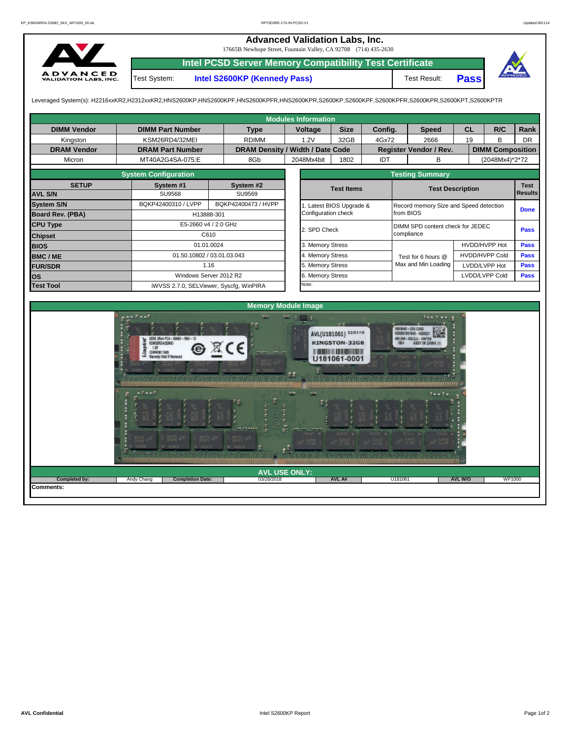## **Advanced Validation Labs, Inc.**

17665B Newhope Street, Fountain Valley, CA 92708 (714) 435-2630



**Intel PCSD Server Memory Compatibility Test Certificate**

Test System: **Intel S2600KP (Kennedy Pass)** Test Result:



**Pass**

Leveraged System(s): H2216xxKR2,H2312xxKR2,HNS2600KP,HNS2600KPF,HNS2600KPFR,HNS2600KPR,S2600KP,S2600KPF,S2600KPFR,S2600KPR,S2600KPT,S2600KPTR

|                                                       |                                                                                                        |                                         | <b>Modules Information</b>                          |                                                               |            |                                                                                            |                         |                               |             |  |  |  |  |
|-------------------------------------------------------|--------------------------------------------------------------------------------------------------------|-----------------------------------------|-----------------------------------------------------|---------------------------------------------------------------|------------|--------------------------------------------------------------------------------------------|-------------------------|-------------------------------|-------------|--|--|--|--|
| <b>DIMM Vendor</b>                                    | <b>DIMM Part Number</b>                                                                                | <b>Type</b>                             | Voltage                                             | <b>Size</b>                                                   | Config.    | <b>Speed</b>                                                                               | <b>CL</b>               | R/C                           | Rank        |  |  |  |  |
| Kingston                                              | KSM26RD4/32MEI                                                                                         | <b>RDIMM</b>                            | 1.2V                                                | 32GB                                                          | 4Gx72      | 2666                                                                                       | 19                      | B                             | <b>DR</b>   |  |  |  |  |
| <b>DRAM Vendor</b>                                    | <b>DRAM Part Number</b>                                                                                |                                         |                                                     | DRAM Density / Width / Date Code                              |            | Register Vendor / Rev.                                                                     | <b>DIMM Composition</b> |                               |             |  |  |  |  |
| Micron                                                | MT40A2G4SA-075:E                                                                                       | 8Gb                                     | 2048Mx4bit                                          | 1802                                                          | <b>IDT</b> | B                                                                                          |                         | (2048Mx4)*2*72                |             |  |  |  |  |
| <b>System Configuration</b><br><b>Testing Summary</b> |                                                                                                        |                                         |                                                     |                                                               |            |                                                                                            |                         |                               |             |  |  |  |  |
| <b>SETUP</b>                                          | System #1                                                                                              | System #2                               |                                                     | <b>Test Items</b>                                             |            |                                                                                            | <b>Test Description</b> | <b>Test</b><br><b>Results</b> |             |  |  |  |  |
| <b>AVL S/N</b>                                        | SU9568                                                                                                 | SU9569                                  |                                                     |                                                               |            |                                                                                            |                         |                               |             |  |  |  |  |
| <b>System S/N</b>                                     | BQKP42400310 / LVPP                                                                                    | BQKP42400473 / HVPP                     |                                                     | 1. Latest BIOS Upgrade &                                      |            | Record memory Size and Speed detection                                                     |                         |                               | <b>Done</b> |  |  |  |  |
| <b>Board Rev. (PBA)</b>                               |                                                                                                        | H13888-301                              | Configuration check                                 |                                                               |            | from BIOS                                                                                  |                         |                               |             |  |  |  |  |
| <b>CPU Type</b>                                       |                                                                                                        | E5-2660 v4 / 2.0 GHz                    | 2. SPD Check                                        |                                                               |            | DIMM SPD content check for JEDEC<br><b>Pass</b>                                            |                         |                               |             |  |  |  |  |
| <b>Chipset</b>                                        |                                                                                                        | C610                                    |                                                     |                                                               |            | compliance                                                                                 |                         |                               |             |  |  |  |  |
| <b>BIOS</b>                                           |                                                                                                        | 01.01.0024                              | 3. Memory Stress                                    |                                                               |            |                                                                                            |                         | HVDD/HVPP Hot                 | Pass        |  |  |  |  |
| <b>BMC/ME</b>                                         |                                                                                                        | 01.50.10802 / 03.01.03.043              | 4. Memory Stress                                    |                                                               |            | Test for 6 hours @                                                                         |                         | <b>HVDD/HVPP Cold</b>         | Pass        |  |  |  |  |
| <b>FUR/SDR</b>                                        |                                                                                                        | 1.16                                    | 5. Memory Stress                                    |                                                               |            | Max and Min Loading                                                                        | LVDD/LVPP Hot           | Pass                          |             |  |  |  |  |
| <b>los</b>                                            |                                                                                                        | Windows Server 2012 R2                  | 6. Memory Stress                                    |                                                               |            |                                                                                            |                         | LVDD/LVPP Cold                | Pass        |  |  |  |  |
| <b>Test Tool</b>                                      |                                                                                                        | iWVSS 2.7.0, SELViewer, Syscfg, WinPIRA | Note:                                               |                                                               |            |                                                                                            |                         |                               |             |  |  |  |  |
|                                                       | 32GB 2Rx4 PC4-2666V-RB2-12<br>KSM26RD4/32MEI<br>1.2V<br>CSMM3611845<br><b>Warranty Void If Removed</b> | $\mathbb{X}$ CE                         | <b>Memory Module Image</b><br><b>SERVICE</b><br>e a | AVL(U181061) 02/01/18<br><b>KINGSTON-32GB</b><br>U181061-0001 |            | THE THE<br>65640-029.C000<br>007947943 - S000<br>MLNM-K9LSJJ-HWYEB<br><b>ASSY IN CHINA</b> |                         |                               |             |  |  |  |  |
| Completed by:                                         | Andy Chang<br><b>Completion Date:</b>                                                                  | 03/28/2018                              | <b>AVL USE ONLY:</b>                                | AVL A#                                                        | U181061    |                                                                                            | <b>AVL W/O</b>          | <b>WF1000</b>                 |             |  |  |  |  |

**Comments:**